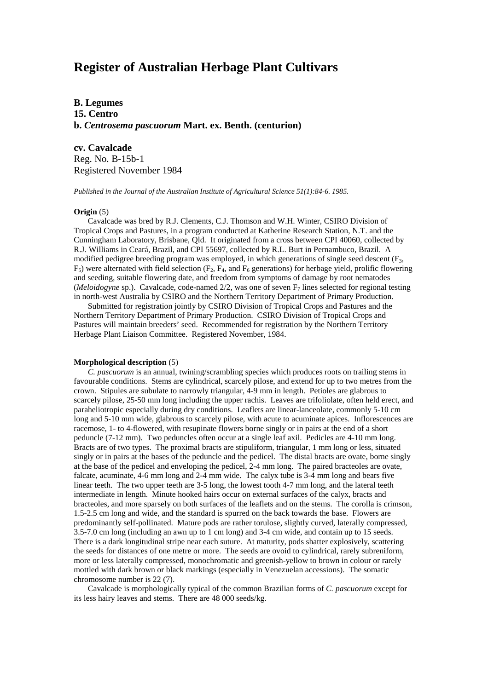# **Register of Australian Herbage Plant Cultivars**

**B. Legumes 15. Centro b.** *Centrosema pascuorum* **Mart. ex. Benth. (centurion)**

**cv. Cavalcade**

Reg. No. B-15b-1 Registered November 1984

*Published in the Journal of the Australian Institute of Agricultural Science 51(1):84-6. 1985.*

# **Origin** (5)

Cavalcade was bred by R.J. Clements, C.J. Thomson and W.H. Winter, CSIRO Division of Tropical Crops and Pastures, in a program conducted at Katherine Research Station, N.T. and the Cunningham Laboratory, Brisbane, Qld. It originated from a cross between CPI 40060, collected by R.J. Williams in Ceará, Brazil, and CPI 55697, collected by R.L. Burt in Pernambuco, Brazil. A modified pedigree breeding program was employed, in which generations of single seed descent  $(F_3,$  $F_5$ ) were alternated with field selection ( $F_2$ ,  $F_4$ , and  $F_6$  generations) for herbage yield, prolific flowering and seeding, suitable flowering date, and freedom from symptoms of damage by root nematodes (*Meloidogyne* sp.). Cavalcade, code-named  $2/2$ , was one of seven  $F_7$  lines selected for regional testing in north-west Australia by CSIRO and the Northern Territory Department of Primary Production.

Submitted for registration jointly by CSIRO Division of Tropical Crops and Pastures and the Northern Territory Department of Primary Production. CSIRO Division of Tropical Crops and Pastures will maintain breeders' seed. Recommended for registration by the Northern Territory Herbage Plant Liaison Committee. Registered November, 1984.

#### **Morphological description** (5)

*C. pascuorum* is an annual, twining/scrambling species which produces roots on trailing stems in favourable conditions. Stems are cylindrical, scarcely pilose, and extend for up to two metres from the crown. Stipules are subulate to narrowly triangular, 4-9 mm in length. Petioles are glabrous to scarcely pilose, 25-50 mm long including the upper rachis. Leaves are trifoliolate, often held erect, and paraheliotropic especially during dry conditions. Leaflets are linear-lanceolate, commonly 5-10 cm long and 5-10 mm wide, glabrous to scarcely pilose, with acute to acuminate apices. Inflorescences are racemose, 1- to 4-flowered, with resupinate flowers borne singly or in pairs at the end of a short peduncle (7-12 mm). Two peduncles often occur at a single leaf axil. Pedicles are 4-10 mm long. Bracts are of two types. The proximal bracts are stipuliform, triangular, 1 mm long or less, situated singly or in pairs at the bases of the peduncle and the pedicel. The distal bracts are ovate, borne singly at the base of the pedicel and enveloping the pedicel, 2-4 mm long. The paired bracteoles are ovate, falcate, acuminate, 4-6 mm long and 2-4 mm wide. The calyx tube is 3-4 mm long and bears five linear teeth. The two upper teeth are 3-5 long, the lowest tooth 4-7 mm long, and the lateral teeth intermediate in length. Minute hooked hairs occur on external surfaces of the calyx, bracts and bracteoles, and more sparsely on both surfaces of the leaflets and on the stems. The corolla is crimson, 1.5-2.5 cm long and wide, and the standard is spurred on the back towards the base. Flowers are predominantly self-pollinated. Mature pods are rather torulose, slightly curved, laterally compressed, 3.5-7.0 cm long (including an awn up to 1 cm long) and 3-4 cm wide, and contain up to 15 seeds. There is a dark longitudinal stripe near each suture. At maturity, pods shatter explosively, scattering the seeds for distances of one metre or more. The seeds are ovoid to cylindrical, rarely subreniform, more or less laterally compressed, monochromatic and greenish-yellow to brown in colour or rarely mottled with dark brown or black markings (especially in Venezuelan accessions). The somatic chromosome number is 22 (7).

Cavalcade is morphologically typical of the common Brazilian forms of *C. pascuorum* except for its less hairy leaves and stems. There are 48 000 seeds/kg.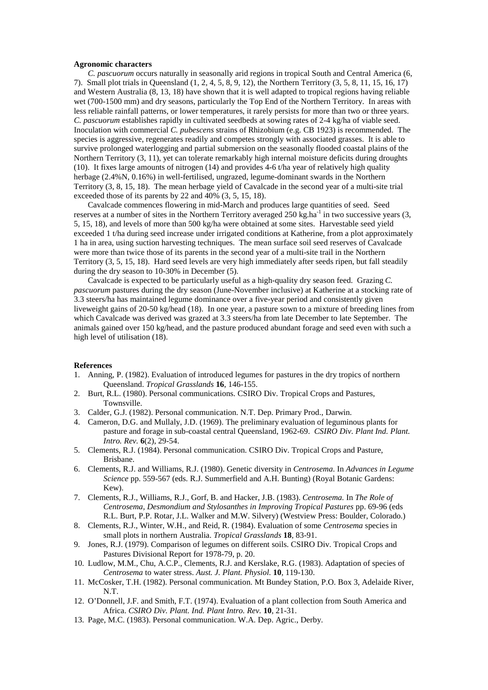### **Agronomic characters**

*C. pascuorum* occurs naturally in seasonally arid regions in tropical South and Central America (6, Small plot trials in Queensland (1, 2, 4, 5, 8, 9, 12), the Northern Territory (3, 5, 8, 11, 15, 16, 17) and Western Australia (8, 13, 18) have shown that it is well adapted to tropical regions having reliable wet (700-1500 mm) and dry seasons, particularly the Top End of the Northern Territory. In areas with less reliable rainfall patterns, or lower temperatures, it rarely persists for more than two or three years. *C. pascuorum* establishes rapidly in cultivated seedbeds at sowing rates of 2-4 kg/ha of viable seed. Inoculation with commercial *C. pubescens* strains of Rhizobium (e.g. CB 1923) is recommended. The species is aggressive, regenerates readily and competes strongly with associated grasses. It is able to survive prolonged waterlogging and partial submersion on the seasonally flooded coastal plains of the Northern Territory (3, 11), yet can tolerate remarkably high internal moisture deficits during droughts (10). It fixes large amounts of nitrogen (14) and provides 4-6 t/ha year of relatively high quality herbage (2.4%N, 0.16%) in well-fertilised, ungrazed, legume-dominant swards in the Northern Territory (3, 8, 15, 18). The mean herbage yield of Cavalcade in the second year of a multi-site trial exceeded those of its parents by 22 and 40% (3, 5, 15, 18).

Cavalcade commences flowering in mid-March and produces large quantities of seed. Seed reserves at a number of sites in the Northern Territory averaged 250 kg.ha<sup>-1</sup> in two successive years  $(3, 1)$ 5, 15, 18), and levels of more than 500 kg/ha were obtained at some sites. Harvestable seed yield exceeded 1 t/ha during seed increase under irrigated conditions at Katherine, from a plot approximately 1 ha in area, using suction harvesting techniques. The mean surface soil seed reserves of Cavalcade were more than twice those of its parents in the second year of a multi-site trail in the Northern Territory (3, 5, 15, 18). Hard seed levels are very high immediately after seeds ripen, but fall steadily during the dry season to 10-30% in December (5).

Cavalcade is expected to be particularly useful as a high-quality dry season feed. Grazing *C. pascuorum* pastures during the dry season (June-November inclusive) at Katherine at a stocking rate of 3.3 steers/ha has maintained legume dominance over a five-year period and consistently given liveweight gains of 20-50 kg/head (18). In one year, a pasture sown to a mixture of breeding lines from which Cavalcade was derived was grazed at 3.3 steers/ha from late December to late September. The animals gained over 150 kg/head, and the pasture produced abundant forage and seed even with such a high level of utilisation (18).

## **References**

- 1. Anning, P. (1982). Evaluation of introduced legumes for pastures in the dry tropics of northern Queensland. *Tropical Grasslands* **16**, 146-155.
- 2. Burt, R.L. (1980). Personal communications. CSIRO Div. Tropical Crops and Pastures, Townsville.
- 3. Calder, G.J. (1982). Personal communication. N.T. Dep. Primary Prod., Darwin.
- 4. Cameron, D.G. and Mullaly, J.D. (1969). The preliminary evaluation of leguminous plants for pasture and forage in sub-coastal central Queensland, 1962-69. *CSIRO Div. Plant Ind. Plant. Intro. Rev.* **6**(2), 29-54.
- 5. Clements, R.J. (1984). Personal communication. CSIRO Div. Tropical Crops and Pasture, Brisbane.
- 6. Clements, R.J. and Williams, R.J. (1980). Genetic diversity in *Centrosema*. In *Advances in Legume Science* pp. 559-567 (eds. R.J. Summerfield and A.H. Bunting) (Royal Botanic Gardens: Kew).
- 7. Clements, R.J., Williams, R.J., Gorf, B. and Hacker, J.B. (1983). *Centrosema.* In *The Role of Centrosema, Desmondium and Stylosanthes in Improving Tropical Pastures* pp. 69-96 (eds R.L. Burt, P.P. Rotar, J.L. Walker and M.W. Silvery) (Westview Press: Boulder, Colorado.)
- 8. Clements, R.J., Winter, W.H., and Reid, R. (1984). Evaluation of some *Centrosema* species in small plots in northern Australia. *Tropical Grasslands* **18**, 83-91.
- 9. Jones, R.J. (1979). Comparison of legumes on different soils. CSIRO Div. Tropical Crops and Pastures Divisional Report for 1978-79, p. 20.
- 10. Ludlow, M.M., Chu, A.C.P., Clements, R.J. and Kerslake, R.G. (1983). Adaptation of species of *Centrosema* to water stress. *Aust. J. Plant. Physiol.* **10**, 119-130.
- 11. McCosker, T.H. (1982). Personal communication. Mt Bundey Station, P.O. Box 3, Adelaide River, N.T.
- 12. O'Donnell, J.F. and Smith, F.T. (1974). Evaluation of a plant collection from South America and Africa. *CSIRO Div. Plant. Ind. Plant Intro. Rev.* **10**, 21-31.
- 13. Page, M.C. (1983). Personal communication. W.A. Dep. Agric., Derby.